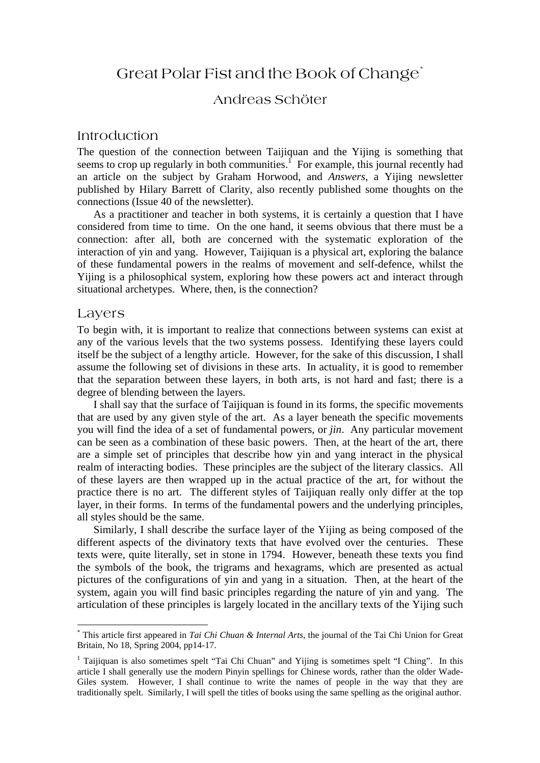# Great Polar Fist and the Book of Change[\\*](#page-0-0)

# Andreas Schöter

# Introduction

The question of the connection between Taijiquan and the Yijing is something that seems to crop up regularly in both communities.<sup> $1$ </sup> For example, this journal recently had an article on the subject by Graham Horwood, and *Answers*, a Yijing newsletter published by Hilary Barrett of Clarity, also recently published some thoughts on the connections (Issue 40 of the newsletter).

 As a practitioner and teacher in both systems, it is certainly a question that I have considered from time to time. On the one hand, it seems obvious that there must be a connection: after all, both are concerned with the systematic exploration of the interaction of yin and yang. However, Taijiquan is a physical art, exploring the balance of these fundamental powers in the realms of movement and self-defence, whilst the Yijing is a philosophical system, exploring how these powers act and interact through situational archetypes. Where, then, is the connection?

#### Layers

 $\overline{a}$ 

To begin with, it is important to realize that connections between systems can exist at any of the various levels that the two systems possess. Identifying these layers could itself be the subject of a lengthy article. However, for the sake of this discussion, I shall assume the following set of divisions in these arts. In actuality, it is good to remember that the separation between these layers, in both arts, is not hard and fast; there is a degree of blending between the layers.

 I shall say that the surface of Taijiquan is found in its forms, the specific movements that are used by any given style of the art. As a layer beneath the specific movements you will find the idea of a set of fundamental powers, or *jin*. Any particular movement can be seen as a combination of these basic powers. Then, at the heart of the art, there are a simple set of principles that describe how yin and yang interact in the physical realm of interacting bodies. These principles are the subject of the literary classics. All of these layers are then wrapped up in the actual practice of the art, for without the practice there is no art. The different styles of Taijiquan really only differ at the top layer, in their forms. In terms of the fundamental powers and the underlying principles, all styles should be the same.

 Similarly, I shall describe the surface layer of the Yijing as being composed of the different aspects of the divinatory texts that have evolved over the centuries. These texts were, quite literally, set in stone in 1794. However, beneath these texts you find the symbols of the book, the trigrams and hexagrams, which are presented as actual pictures of the configurations of yin and yang in a situation. Then, at the heart of the system, again you will find basic principles regarding the nature of yin and yang. The articulation of these principles is largely located in the ancillary texts of the Yijing such

<span id="page-0-0"></span><sup>\*</sup> This article first appeared in *Tai Chi Chuan & Internal Arts*, the journal of the Tai Chi Union for Great Britain, No 18, Spring 2004, pp14-17.

<span id="page-0-1"></span><sup>&</sup>lt;sup>1</sup> Taijiquan is also sometimes spelt "Tai Chi Chuan" and Yijing is sometimes spelt "I Ching". In this article I shall generally use the modern Pinyin spellings for Chinese words, rather than the older Wade-Giles system. However, I shall continue to write the names of people in the way that they are traditionally spelt. Similarly, I will spell the titles of books using the same spelling as the original author.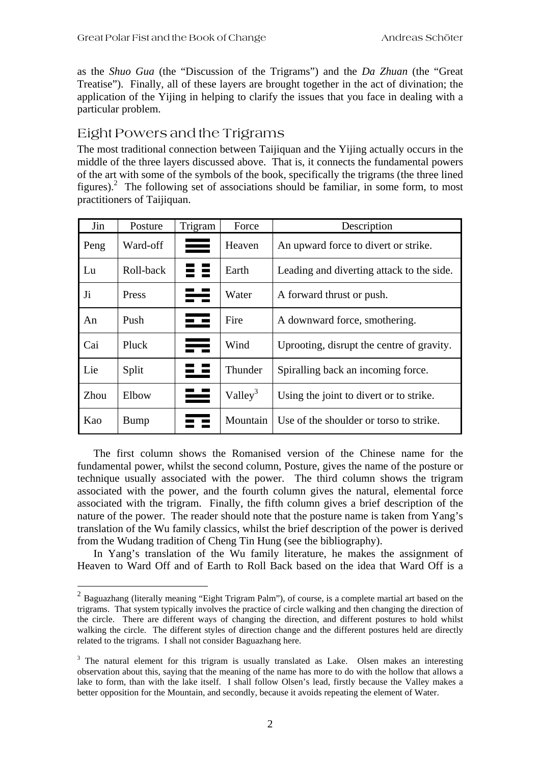as the *Shuo Gua* (the "Discussion of the Trigrams") and the *Da Zhuan* (the "Great Treatise"). Finally, all of these layers are brought together in the act of divination; the application of the Yijing in helping to clarify the issues that you face in dealing with a particular problem.

# Eight Powers and the Trigrams

 $\overline{a}$ 

The most traditional connection between Taijiquan and the Yijing actually occurs in the middle of the three layers discussed above. That is, it connects the fundamental powers of the art with some of the symbols of the book, specifically the trigrams (the three lined figures).<sup>2</sup> The following set of associations should be familiar, in some form, to most practitioners of Taijiquan.

| Jin            | Posture   | Trigram | Force               | Description                               |
|----------------|-----------|---------|---------------------|-------------------------------------------|
| Peng           | Ward-off  | ═       | Heaven              | An upward force to divert or strike.      |
| Lu             | Roll-back |         | Earth               | Leading and diverting attack to the side. |
| J <sub>i</sub> | Press     | ☵═      | Water               | A forward thrust or push.                 |
| An             | Push      | ☲       | Fire                | A downward force, smothering.             |
| Cai            | Pluck     | ≕       | Wind                | Uprooting, disrupt the centre of gravity. |
| Lie            | Split     |         | Thunder             | Spiralling back an incoming force.        |
| Zhou           | Elbow     | ══      | Valley <sup>3</sup> | Using the joint to divert or to strike.   |
| Kao            | Bump      |         | Mountain            | Use of the shoulder or torso to strike.   |

The first column shows the Romanised version of the Chinese name for the fundamental power, whilst the second column, Posture, gives the name of the posture or technique usually associated with the power. The third column shows the trigram associated with the power, and the fourth column gives the natural, elemental force associated with the trigram. Finally, the fifth column gives a brief description of the nature of the power. The reader should note that the posture name is taken from Yang's translation of the Wu family classics, whilst the brief description of the power is derived from the Wudang tradition of Cheng Tin Hung (see the bibliography).

In Yang's translation of the Wu family literature, he makes the assignment of Heaven to Ward Off and of Earth to Roll Back based on the idea that Ward Off is a

<span id="page-1-0"></span> $2$  Baguazhang (literally meaning "Eight Trigram Palm"), of course, is a complete martial art based on the trigrams. That system typically involves the practice of circle walking and then changing the direction of the circle. There are different ways of changing the direction, and different postures to hold whilst walking the circle. The different styles of direction change and the different postures held are directly related to the trigrams. I shall not consider Baguazhang here.

<span id="page-1-1"></span><sup>&</sup>lt;sup>3</sup> The natural element for this trigram is usually translated as Lake. Olsen makes an interesting observation about this, saying that the meaning of the name has more to do with the hollow that allows a lake to form, than with the lake itself. I shall follow Olsen's lead, firstly because the Valley makes a better opposition for the Mountain, and secondly, because it avoids repeating the element of Water.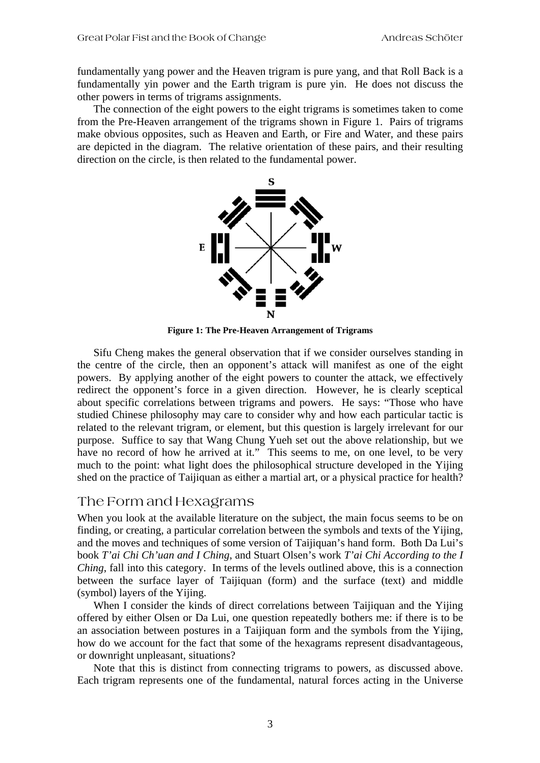fundamentally yang power and the Heaven trigram is pure yang, and that Roll Back is a fundamentally yin power and the Earth trigram is pure yin. He does not discuss the other powers in terms of trigrams assignments.

The connection of the eight powers to the eight trigrams is sometimes taken to come from the Pre-Heaven arrangement of the trigrams shown in [Figure 1.](#page-2-0) Pairs of trigrams make obvious opposites, such as Heaven and Earth, or Fire and Water, and these pairs are depicted in the diagram. The relative orientation of these pairs, and their resulting direction on the circle, is then related to the fundamental power.

<span id="page-2-0"></span>

**Figure 1: The Pre-Heaven Arrangement of Trigrams** 

Sifu Cheng makes the general observation that if we consider ourselves standing in the centre of the circle, then an opponent's attack will manifest as one of the eight powers. By applying another of the eight powers to counter the attack, we effectively redirect the opponent's force in a given direction. However, he is clearly sceptical about specific correlations between trigrams and powers. He says: "Those who have studied Chinese philosophy may care to consider why and how each particular tactic is related to the relevant trigram, or element, but this question is largely irrelevant for our purpose. Suffice to say that Wang Chung Yueh set out the above relationship, but we have no record of how he arrived at it." This seems to me, on one level, to be very much to the point: what light does the philosophical structure developed in the Yijing shed on the practice of Taijiquan as either a martial art, or a physical practice for health?

# The Form and Hexagrams

When you look at the available literature on the subject, the main focus seems to be on finding, or creating, a particular correlation between the symbols and texts of the Yijing, and the moves and techniques of some version of Taijiquan's hand form. Both Da Lui's book *T'ai Chi Ch'uan and I Ching*, and Stuart Olsen's work *T'ai Chi According to the I Ching*, fall into this category. In terms of the levels outlined above, this is a connection between the surface layer of Taijiquan (form) and the surface (text) and middle (symbol) layers of the Yijing.

When I consider the kinds of direct correlations between Taijiquan and the Yijing offered by either Olsen or Da Lui, one question repeatedly bothers me: if there is to be an association between postures in a Taijiquan form and the symbols from the Yijing, how do we account for the fact that some of the hexagrams represent disadvantageous, or downright unpleasant, situations?

Note that this is distinct from connecting trigrams to powers, as discussed above. Each trigram represents one of the fundamental, natural forces acting in the Universe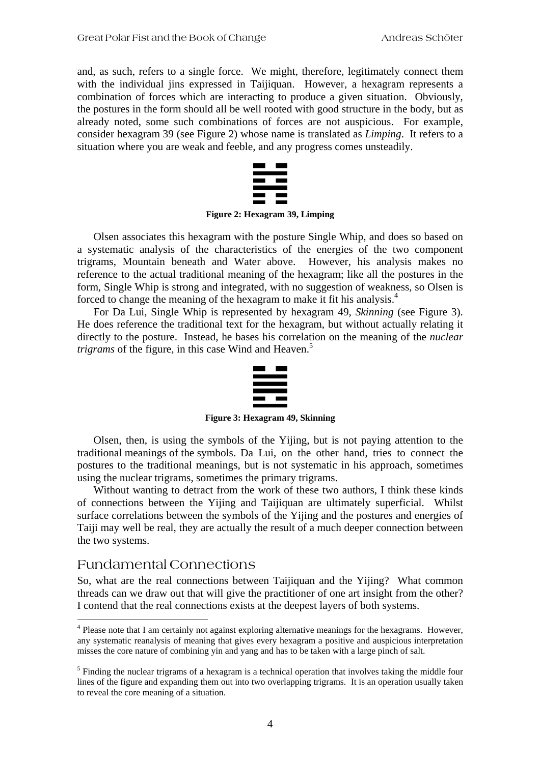and, as such, refers to a single force. We might, therefore, legitimately connect them with the individual jins expressed in Taijiquan. However, a hexagram represents a combination of forces which are interacting to produce a given situation. Obviously, the postures in the form should all be well rooted with good structure in the body, but as already noted, some such combinations of forces are not auspicious. For example, consider hexagram 39 (see [Figure 2\)](#page-3-0) whose name is translated as *Limping*. It refers to a situation where you are weak and feeble, and any progress comes unsteadily.

<span id="page-3-0"></span>

**Figure 2: Hexagram 39, Limping** 

Olsen associates this hexagram with the posture Single Whip, and does so based on a systematic analysis of the characteristics of the energies of the two component trigrams, Mountain beneath and Water above. However, his analysis makes no reference to the actual traditional meaning of the hexagram; like all the postures in the form, Single Whip is strong and integrated, with no suggestion of weakness, so Olsen is forced to change the meaning of the hexagram to make it fit his analysis.<sup>4</sup>

For Da Lui, Single Whip is represented by hexagram 49, *Skinning* (see [Figure 3\)](#page-3-1). He does reference the traditional text for the hexagram, but without actually relating it directly to the posture. Instead, he bases his correlation on the meaning of the *nuclear trigrams* of the figure, in this case Wind and Heaven.<sup>[5](#page-3-3)</sup>

<span id="page-3-1"></span>

**Figure 3: Hexagram 49, Skinning** 

Olsen, then, is using the symbols of the Yijing, but is not paying attention to the traditional meanings of the symbols. Da Lui, on the other hand, tries to connect the postures to the traditional meanings, but is not systematic in his approach, sometimes using the nuclear trigrams, sometimes the primary trigrams.

Without wanting to detract from the work of these two authors, I think these kinds of connections between the Yijing and Taijiquan are ultimately superficial. Whilst surface correlations between the symbols of the Yijing and the postures and energies of Taiji may well be real, they are actually the result of a much deeper connection between the two systems.

# Fundamental Connections

 $\overline{a}$ 

So, what are the real connections between Taijiquan and the Yijing? What common threads can we draw out that will give the practitioner of one art insight from the other? I contend that the real connections exists at the deepest layers of both systems.

<span id="page-3-2"></span><sup>&</sup>lt;sup>4</sup> Please note that I am certainly not against exploring alternative meanings for the hexagrams. However, any systematic reanalysis of meaning that gives every hexagram a positive and auspicious interpretation misses the core nature of combining yin and yang and has to be taken with a large pinch of salt.

<span id="page-3-3"></span> $<sup>5</sup>$  Finding the nuclear trigrams of a hexagram is a technical operation that involves taking the middle four</sup> lines of the figure and expanding them out into two overlapping trigrams. It is an operation usually taken to reveal the core meaning of a situation.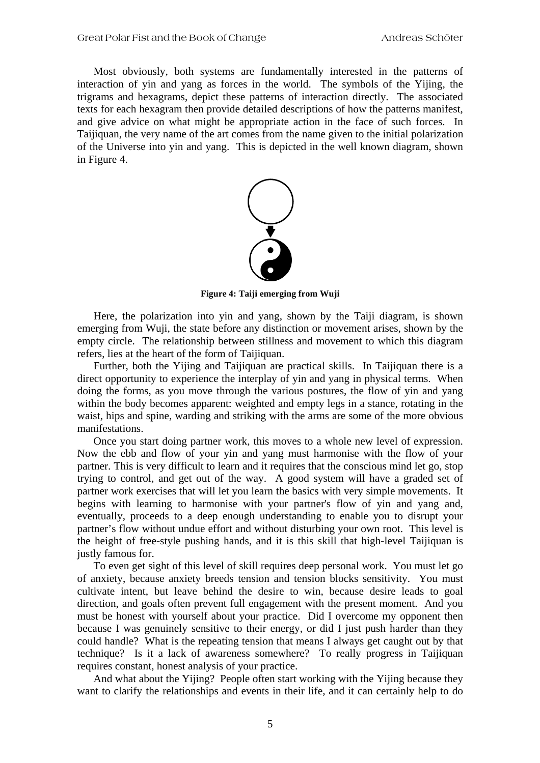Most obviously, both systems are fundamentally interested in the patterns of interaction of yin and yang as forces in the world. The symbols of the Yijing, the trigrams and hexagrams, depict these patterns of interaction directly. The associated texts for each hexagram then provide detailed descriptions of how the patterns manifest, and give advice on what might be appropriate action in the face of such forces. In Taijiquan, the very name of the art comes from the name given to the initial polarization of the Universe into yin and yang. This is depicted in the well known diagram, shown in [Figure 4.](#page-4-0)

<span id="page-4-0"></span>

**Figure 4: Taiji emerging from Wuji** 

Here, the polarization into yin and yang, shown by the Taiji diagram, is shown emerging from Wuji, the state before any distinction or movement arises, shown by the empty circle. The relationship between stillness and movement to which this diagram refers, lies at the heart of the form of Taijiquan.

Further, both the Yijing and Taijiquan are practical skills. In Taijiquan there is a direct opportunity to experience the interplay of yin and yang in physical terms. When doing the forms, as you move through the various postures, the flow of yin and yang within the body becomes apparent: weighted and empty legs in a stance, rotating in the waist, hips and spine, warding and striking with the arms are some of the more obvious manifestations.

Once you start doing partner work, this moves to a whole new level of expression. Now the ebb and flow of your yin and yang must harmonise with the flow of your partner. This is very difficult to learn and it requires that the conscious mind let go, stop trying to control, and get out of the way. A good system will have a graded set of partner work exercises that will let you learn the basics with very simple movements. It begins with learning to harmonise with your partner's flow of yin and yang and, eventually, proceeds to a deep enough understanding to enable you to disrupt your partner's flow without undue effort and without disturbing your own root. This level is the height of free-style pushing hands, and it is this skill that high-level Taijiquan is justly famous for.

To even get sight of this level of skill requires deep personal work. You must let go of anxiety, because anxiety breeds tension and tension blocks sensitivity. You must cultivate intent, but leave behind the desire to win, because desire leads to goal direction, and goals often prevent full engagement with the present moment. And you must be honest with yourself about your practice. Did I overcome my opponent then because I was genuinely sensitive to their energy, or did I just push harder than they could handle? What is the repeating tension that means I always get caught out by that technique? Is it a lack of awareness somewhere? To really progress in Taijiquan requires constant, honest analysis of your practice.

And what about the Yijing? People often start working with the Yijing because they want to clarify the relationships and events in their life, and it can certainly help to do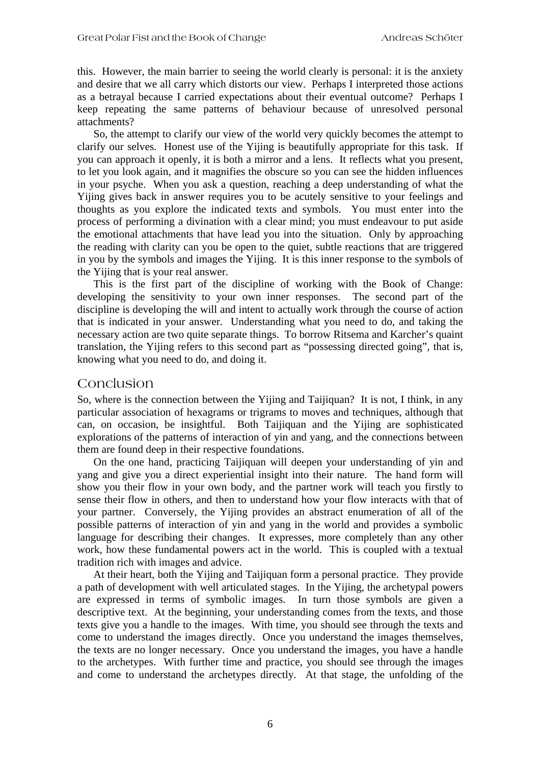this. However, the main barrier to seeing the world clearly is personal: it is the anxiety and desire that we all carry which distorts our view. Perhaps I interpreted those actions as a betrayal because I carried expectations about their eventual outcome? Perhaps I keep repeating the same patterns of behaviour because of unresolved personal attachments?

So, the attempt to clarify our view of the world very quickly becomes the attempt to clarify our selves. Honest use of the Yijing is beautifully appropriate for this task. If you can approach it openly, it is both a mirror and a lens. It reflects what you present, to let you look again, and it magnifies the obscure so you can see the hidden influences in your psyche. When you ask a question, reaching a deep understanding of what the Yijing gives back in answer requires you to be acutely sensitive to your feelings and thoughts as you explore the indicated texts and symbols. You must enter into the process of performing a divination with a clear mind; you must endeavour to put aside the emotional attachments that have lead you into the situation. Only by approaching the reading with clarity can you be open to the quiet, subtle reactions that are triggered in you by the symbols and images the Yijing. It is this inner response to the symbols of the Yijing that is your real answer.

This is the first part of the discipline of working with the Book of Change: developing the sensitivity to your own inner responses. The second part of the discipline is developing the will and intent to actually work through the course of action that is indicated in your answer. Understanding what you need to do, and taking the necessary action are two quite separate things. To borrow Ritsema and Karcher's quaint translation, the Yijing refers to this second part as "possessing directed going", that is, knowing what you need to do, and doing it.

#### **Conclusion**

So, where is the connection between the Yijing and Taijiquan? It is not, I think, in any particular association of hexagrams or trigrams to moves and techniques, although that can, on occasion, be insightful. Both Taijiquan and the Yijing are sophisticated explorations of the patterns of interaction of yin and yang, and the connections between them are found deep in their respective foundations.

On the one hand, practicing Taijiquan will deepen your understanding of yin and yang and give you a direct experiential insight into their nature. The hand form will show you their flow in your own body, and the partner work will teach you firstly to sense their flow in others, and then to understand how your flow interacts with that of your partner. Conversely, the Yijing provides an abstract enumeration of all of the possible patterns of interaction of yin and yang in the world and provides a symbolic language for describing their changes. It expresses, more completely than any other work, how these fundamental powers act in the world. This is coupled with a textual tradition rich with images and advice.

At their heart, both the Yijing and Taijiquan form a personal practice. They provide a path of development with well articulated stages. In the Yijing, the archetypal powers are expressed in terms of symbolic images. In turn those symbols are given a descriptive text. At the beginning, your understanding comes from the texts, and those texts give you a handle to the images. With time, you should see through the texts and come to understand the images directly. Once you understand the images themselves, the texts are no longer necessary. Once you understand the images, you have a handle to the archetypes. With further time and practice, you should see through the images and come to understand the archetypes directly. At that stage, the unfolding of the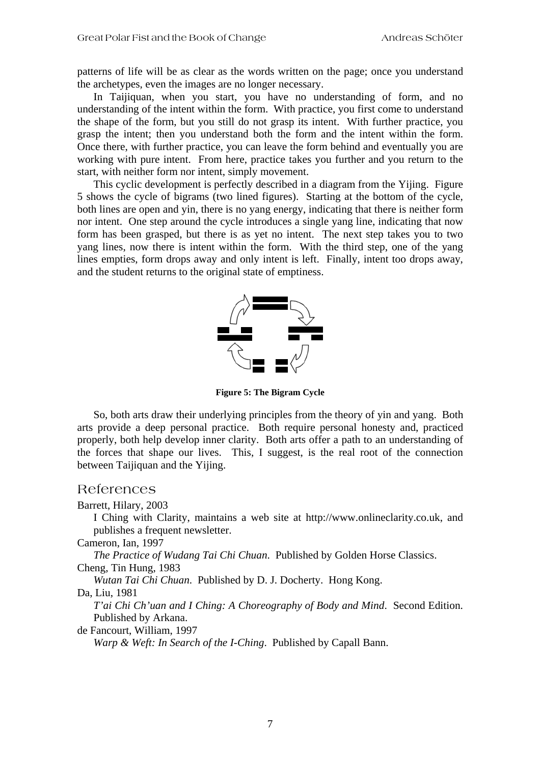patterns of life will be as clear as the words written on the page; once you understand the archetypes, even the images are no longer necessary.

In Taijiquan, when you start, you have no understanding of form, and no understanding of the intent within the form. With practice, you first come to understand the shape of the form, but you still do not grasp its intent. With further practice, you grasp the intent; then you understand both the form and the intent within the form. Once there, with further practice, you can leave the form behind and eventually you are working with pure intent. From here, practice takes you further and you return to the start, with neither form nor intent, simply movement.

This cyclic development is perfectly described in a diagram from the Yijing. [Figure](#page-6-0)  [5](#page-6-0) shows the cycle of bigrams (two lined figures). Starting at the bottom of the cycle, both lines are open and yin, there is no yang energy, indicating that there is neither form nor intent. One step around the cycle introduces a single yang line, indicating that now form has been grasped, but there is as yet no intent. The next step takes you to two yang lines, now there is intent within the form. With the third step, one of the yang lines empties, form drops away and only intent is left. Finally, intent too drops away, and the student returns to the original state of emptiness.

<span id="page-6-0"></span>

**Figure 5: The Bigram Cycle** 

So, both arts draw their underlying principles from the theory of yin and yang. Both arts provide a deep personal practice. Both require personal honesty and, practiced properly, both help develop inner clarity. Both arts offer a path to an understanding of the forces that shape our lives. This, I suggest, is the real root of the connection between Taijiquan and the Yijing.

# References

Barrett, Hilary, 2003

I Ching with Clarity, maintains a web site at [http://www.onlineclarity.co.uk,](http://www.onlineclarity.co.uk/) and publishes a frequent newsletter.

Cameron, Ian, 1997

*The Practice of Wudang Tai Chi Chuan*. Published by Golden Horse Classics. Cheng, Tin Hung, 1983

*Wutan Tai Chi Chuan*. Published by D. J. Docherty. Hong Kong.

Da, Liu, 1981

*T'ai Chi Ch'uan and I Ching: A Choreography of Body and Mind*. Second Edition. Published by Arkana.

de Fancourt, William, 1997

*Warp & Weft: In Search of the I-Ching*. Published by Capall Bann.